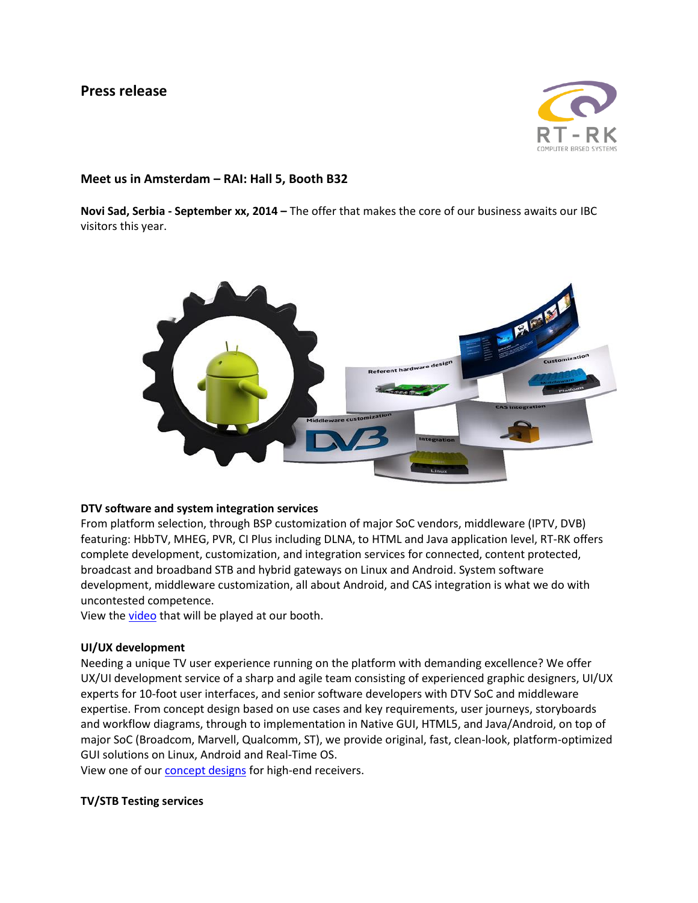# **Press release**



## **Meet us in Amsterdam – RAI: Hall 5, Booth B32**

**Novi Sad, Serbia - September xx, 2014 –** The offer that makes the core of our business awaits our IBC visitors this year.



### **DTV software and system integration services**

From platform selection, through BSP customization of major SoC vendors, middleware (IPTV, DVB) featuring: HbbTV, MHEG, PVR, CI Plus including DLNA, to HTML and Java application level, RT-RK offers complete development, customization, and integration services for connected, content protected, broadcast and broadband STB and hybrid gateways on Linux and Android. System software development, middleware customization, all about Android, and CAS integration is what we do with uncontested competence.

View the [video](http://youtu.be/4fKz0SYCcag) that will be played at our booth.

### **UI/UX development**

Needing a unique TV user experience running on the platform with demanding excellence? We offer UX/UI development service of a sharp and agile team consisting of experienced graphic designers, UI/UX experts for 10-foot user interfaces, and senior software developers with DTV SoC and middleware expertise. From concept design based on use cases and key requirements, user journeys, storyboards and workflow diagrams, through to implementation in Native GUI, HTML5, and Java/Android, on top of major SoC (Broadcom, Marvell, Qualcomm, ST), we provide original, fast, clean-look, platform-optimized GUI solutions on Linux, Android and Real-Time OS.

View one of our **concept designs** for high-end receivers.

### **TV/STB Testing services**